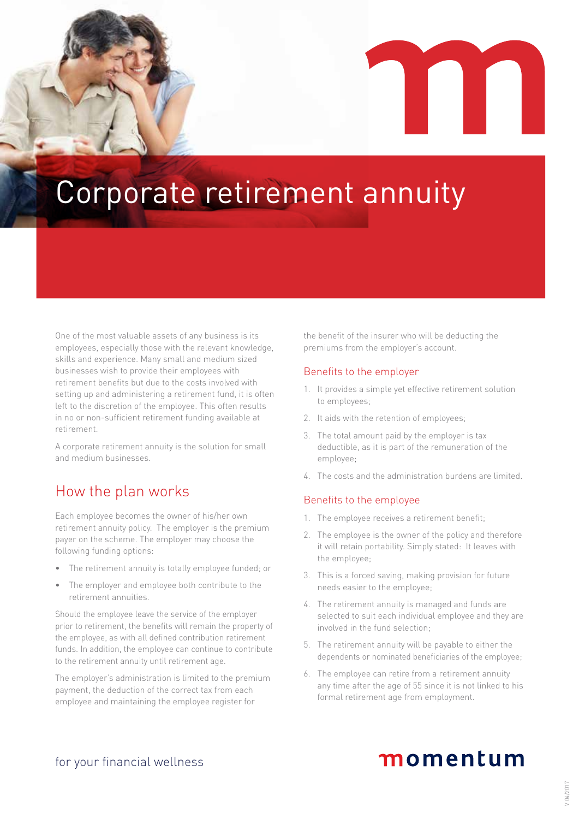# Corporate retirement annuity

One of the most valuable assets of any business is its employees, especially those with the relevant knowledge, skills and experience. Many small and medium sized businesses wish to provide their employees with retirement benefits but due to the costs involved with setting up and administering a retirement fund, it is often left to the discretion of the employee. This often results in no or non-sufficient retirement funding available at retirement.

A corporate retirement annuity is the solution for small and medium businesses.

## How the plan works

Each employee becomes the owner of his/her own retirement annuity policy. The employer is the premium payer on the scheme. The employer may choose the following funding options:

- The retirement annuity is totally employee funded; or
- The employer and employee both contribute to the retirement annuities.

Should the employee leave the service of the employer prior to retirement, the benefits will remain the property of the employee, as with all defined contribution retirement funds. In addition, the employee can continue to contribute to the retirement annuity until retirement age.

The employer's administration is limited to the premium payment, the deduction of the correct tax from each employee and maintaining the employee register for

the benefit of the insurer who will be deducting the premiums from the employer's account.

#### Benefits to the employer

- 1. It provides a simple yet effective retirement solution to employees;
- 2. It aids with the retention of employees;
- 3. The total amount paid by the employer is tax deductible, as it is part of the remuneration of the employee;
- 4. The costs and the administration burdens are limited.

#### Benefits to the employee

- 1. The employee receives a retirement benefit;
- 2. The employee is the owner of the policy and therefore it will retain portability. Simply stated: It leaves with the employee;
- 3. This is a forced saving, making provision for future needs easier to the employee;
- 4. The retirement annuity is managed and funds are selected to suit each individual employee and they are involved in the fund selection;
- 5. The retirement annuity will be payable to either the dependents or nominated beneficiaries of the employee;
- 6. The employee can retire from a retirement annuity any time after the age of 55 since it is not linked to his formal retirement age from employment.

## momentum

for your financial wellness